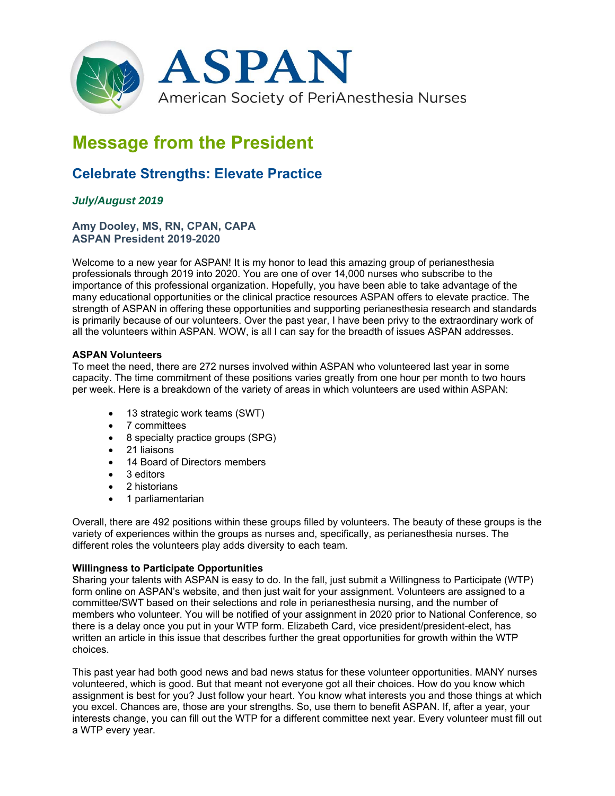

# **Message from the President**

## **Celebrate Strengths: Elevate Practice**

### *July/August 2019*

#### **Amy Dooley, MS, RN, CPAN, CAPA ASPAN President 2019-2020**

Welcome to a new year for ASPAN! It is my honor to lead this amazing group of perianesthesia professionals through 2019 into 2020. You are one of over 14,000 nurses who subscribe to the importance of this professional organization. Hopefully, you have been able to take advantage of the many educational opportunities or the clinical practice resources ASPAN offers to elevate practice. The strength of ASPAN in offering these opportunities and supporting perianesthesia research and standards is primarily because of our volunteers. Over the past year, I have been privy to the extraordinary work of all the volunteers within ASPAN. WOW, is all I can say for the breadth of issues ASPAN addresses.

#### **ASPAN Volunteers**

To meet the need, there are 272 nurses involved within ASPAN who volunteered last year in some capacity. The time commitment of these positions varies greatly from one hour per month to two hours per week. Here is a breakdown of the variety of areas in which volunteers are used within ASPAN:

- 13 strategic work teams (SWT)
- 7 committees
- 8 specialty practice groups (SPG)
- 21 liaisons
- 14 Board of Directors members
- 3 editors
- 2 historians
- 1 parliamentarian

Overall, there are 492 positions within these groups filled by volunteers. The beauty of these groups is the variety of experiences within the groups as nurses and, specifically, as perianesthesia nurses. The different roles the volunteers play adds diversity to each team.

#### **Willingness to Participate Opportunities**

Sharing your talents with ASPAN is easy to do. In the fall, just submit a Willingness to Participate (WTP) form online on ASPAN's website, and then just wait for your assignment. Volunteers are assigned to a committee/SWT based on their selections and role in perianesthesia nursing, and the number of members who volunteer. You will be notified of your assignment in 2020 prior to National Conference, so there is a delay once you put in your WTP form. Elizabeth Card, vice president/president-elect, has written an article in this issue that describes further the great opportunities for growth within the WTP choices.

This past year had both good news and bad news status for these volunteer opportunities. MANY nurses volunteered, which is good. But that meant not everyone got all their choices. How do you know which assignment is best for you? Just follow your heart. You know what interests you and those things at which you excel. Chances are, those are your strengths. So, use them to benefit ASPAN. If, after a year, your interests change, you can fill out the WTP for a different committee next year. Every volunteer must fill out a WTP every year.